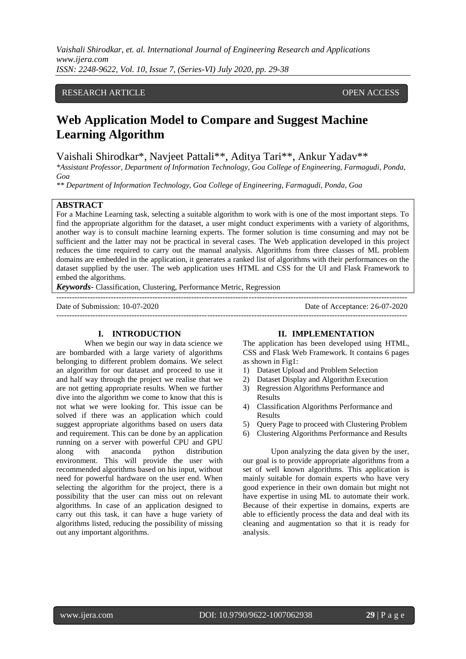# RESEARCH ARTICLE **CONSERVERS** OPEN ACCESS

# **Web Application Model to Compare and Suggest Machine Learning Algorithm**

# Vaishali Shirodkar\*, Navjeet Pattali\*\*, Aditya Tari\*\*, Ankur Yadav\*\*

*\*Assistant Professor, Department of Information Technology, Goa College of Engineering, Farmagudi, Ponda, Goa*

*\*\* Department of Information Technology, Goa College of Engineering, Farmagudi, Ponda, Goa*

---------------------------------------------------------------------------------------------------------------------------------------

## **ABSTRACT**

For a Machine Learning task, selecting a suitable algorithm to work with is one of the most important steps. To find the appropriate algorithm for the dataset, a user might conduct experiments with a variety of algorithms, another way is to consult machine learning experts. The former solution is time consuming and may not be sufficient and the latter may not be practical in several cases. The Web application developed in this project reduces the time required to carry out the manual analysis. Algorithms from three classes of ML problem domains are embedded in the application, it generates a ranked list of algorithms with their performances on the dataset supplied by the user. The web application uses HTML and CSS for the UI and Flask Framework to embed the algorithms.

*Keywords*- Classification, Clustering, Performance Metric, Regression

Date of Submission: 10-07-2020 Date of Acceptance: 26-07-2020

## **I. INTRODUCTION**

When we begin our way in data science we are bombarded with a large variety of algorithms belonging to different problem domains. We select an algorithm for our dataset and proceed to use it and half way through the project we realise that we are not getting appropriate results. When we further dive into the algorithm we come to know that this is not what we were looking for. This issue can be solved if there was an application which could suggest appropriate algorithms based on users data and requirement. This can be done by an application running on a server with powerful CPU and GPU along with anaconda python distribution environment. This will provide the user with recommended algorithms based on his input, without need for powerful hardware on the user end. When selecting the algorithm for the project, there is a possibility that the user can miss out on relevant algorithms. In case of an application designed to carry out this task, it can have a huge variety of algorithms listed, reducing the possibility of missing out any important algorithms.

#### **II. IMPLEMENTATION**

 $-1\leq i\leq n-1$ 

The application has been developed using HTML, CSS and Flask Web Framework. It contains 6 pages as shown in Fig1:

- 1) Dataset Upload and Problem Selection
- 2) Dataset Display and Algorithm Execution
- 3) Regression Algorithms Performance and Results
- 4) Classification Algorithms Performance and Results
- 5) Query Page to proceed with Clustering Problem
- 6) Clustering Algorithms Performance and Results

Upon analyzing the data given by the user, our goal is to provide appropriate algorithms from a set of well known algorithms. This application is mainly suitable for domain experts who have very good experience in their own domain but might not have expertise in using ML to automate their work. Because of their expertise in domains, experts are able to efficiently process the data and deal with its cleaning and augmentation so that it is ready for analysis.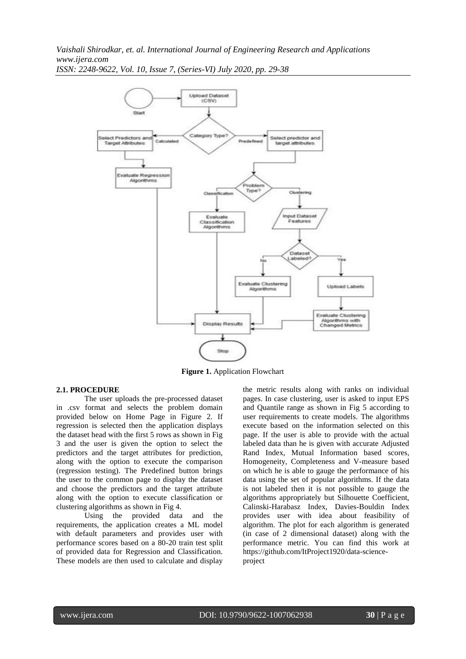*Vaishali Shirodkar, et. al. International Journal of Engineering Research and Applications www.ijera.com*



*ISSN: 2248-9622, Vol. 10, Issue 7, (Series-VI) July 2020, pp. 29-38*

**Figure 1.** Application Flowchart

#### **2.1. PROCEDURE**

The user uploads the pre-processed dataset in .csv format and selects the problem domain provided below on Home Page in Figure 2. If regression is selected then the application displays the dataset head with the first 5 rows as shown in Fig 3 and the user is given the option to select the predictors and the target attributes for prediction, along with the option to execute the comparison (regression testing). The Predefined button brings the user to the common page to display the dataset and choose the predictors and the target attribute along with the option to execute classification or clustering algorithms as shown in Fig 4.

Using the provided data and the requirements, the application creates a ML model with default parameters and provides user with performance scores based on a 80-20 train test split of provided data for Regression and Classification. These models are then used to calculate and display the metric results along with ranks on individual pages. In case clustering, user is asked to input EPS and Quantile range as shown in Fig 5 according to user requirements to create models. The algorithms execute based on the information selected on this page. If the user is able to provide with the actual labeled data than he is given with accurate Adjusted Rand Index, Mutual Information based scores, Homogeneity, Completeness and V-measure based on which he is able to gauge the performance of his data using the set of popular algorithms. If the data is not labeled then it is not possible to gauge the algorithms appropriately but Silhouette Coefficient, Calinski-Harabasz Index, Davies-Bouldin Index provides user with idea about feasibility of algorithm. The plot for each algorithm is generated (in case of 2 dimensional dataset) along with the performance metric. You can find this work at [https://github.com/ItProject1920/data-science](https://github.com/ItProject1920/data-science-project)[project](https://github.com/ItProject1920/data-science-project)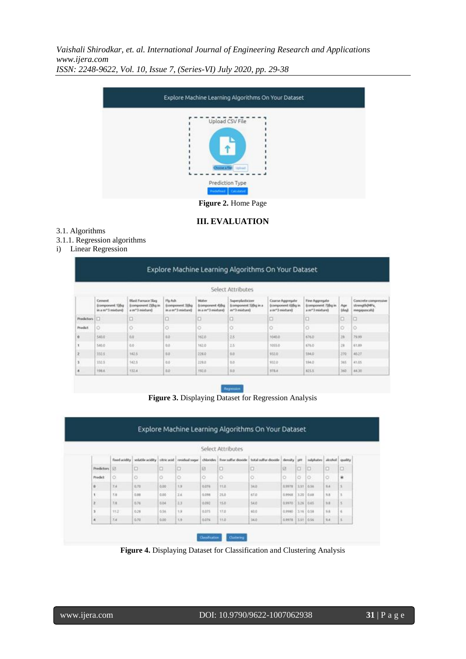

**III. EVALUATION**

## 3.1. Algorithms

3.1.1. Regression algorithms

# i) Linear Regression

|                          |                                                              |                                                                     |                                                                |                                                     | Select Attributes                                           |                                                                        |                                                                     |                      |                                                      |
|--------------------------|--------------------------------------------------------------|---------------------------------------------------------------------|----------------------------------------------------------------|-----------------------------------------------------|-------------------------------------------------------------|------------------------------------------------------------------------|---------------------------------------------------------------------|----------------------|------------------------------------------------------|
|                          | Cennerell<br>(component 198q)<br>in a m <sup>+1</sup> midsed | <b>Black Framace Slag</b><br>Ecomponent ZIOup in<br>(muchain) Email | Fly Ash<br>(component 3)(kg)<br>(waching C <sup>o</sup> m a.m) | Wister<br><b>Icomponent 4)Bg</b><br>(yazlast") ma m | Superplasticizer<br>Ecomponent Silkg in a<br>(waching f'yes | Coarse Aggregate<br>(component 4)(lig in<br>a m <sup>-3</sup> mixbare) | Fine Aggregate<br>(component 7)(kg in<br>a m <sup>+3</sup> mixture3 | Ape<br><b>Island</b> | Concrete comprensive<br>strength@APa,<br>megapascah) |
| <b>Produtors</b>         | Io                                                           | □                                                                   | ю                                                              | o                                                   | o                                                           | ۵                                                                      | а                                                                   | o                    | o                                                    |
| <b>Practice</b>          | o                                                            | ö                                                                   | ö                                                              | $\circ$                                             | ö                                                           | o                                                                      | ö                                                                   | o                    | $\circ$                                              |
| $\Omega$                 | SAIL0                                                        | om.<br>ina.                                                         | 0.b                                                            | 162.8                                               | 28                                                          | 1040.0                                                                 | 676.0                                                               | 2k                   | 79.99                                                |
| x                        | 540.0                                                        | 0.0                                                                 | <b>U.D.</b>                                                    | 162.0                                               | 25                                                          | 1055.0                                                                 | 676.0                                                               | 28                   | 161,85                                               |
| 12                       | 332.5                                                        | 142.5                                                               | 自态                                                             | 228.0                                               | 0.0                                                         | 932.0                                                                  | 594.0                                                               | 270                  | 45.37                                                |
| 13                       | 332.5                                                        | 142.5                                                               | 8.0                                                            | 229.0                                               | 0.0                                                         | 932.0                                                                  | 594.0                                                               | 365                  | 41.05                                                |
| $\overline{\phantom{a}}$ | 198.6                                                        | STZ4                                                                | 血症                                                             | <b>YS2.0</b>                                        | 0.0                                                         | \$778.8                                                                | 825.5                                                               | 360                  | 44.35                                                |

**Figure 3.** Displaying Dataset for Regression Analysis

|                 |               |           |      |                                                |       | Select Attributes |                                                                  |        |                |                           |           |        |
|-----------------|---------------|-----------|------|------------------------------------------------|-------|-------------------|------------------------------------------------------------------|--------|----------------|---------------------------|-----------|--------|
|                 | fixed acidity |           |      | wolatele acidity   obric acid   residual sugar |       |                   | chlorides   free suffur dioxide   total suffur dioxide   density |        | <b>SAFE</b>    | sulphates abouted quality |           |        |
| Predictors   El |               | $\square$ | D.   | o                                              | 巨     | o                 | o                                                                | e      | о              | Đ                         | o         | o      |
| Predict         | O.            | ö         | O    | o                                              | ö     | O.                | ö                                                                | o      | ö              | lo                        | ö         | ٠      |
| $\alpha$        | 7.4           | 0.70      | 0.00 | 1.9                                            | saté  | TEB.              | 34.0                                                             | 0,9578 | 3.51 0.54      |                           | 8.4.      | S.     |
| $\mathbf{t}$    | 2.8           | 0.98      | 0.00 | 26                                             | 0.098 | 25.0              | ict p                                                            | 0.9968 |                | $3.20$ 0.68               | 3.8       | 3      |
| $\overline{z}$  | 7.8           | 0.76      | 0.04 | 33                                             | 0.095 | 15.0              | 54.0                                                             | 0.9970 | 1226 10.65     |                           | 3.8       | ES.    |
| $\overline{3}$  | 112           | 0.28      | 0.56 | 1.5                                            | 0.075 | 17.0              | 93.0                                                             | 0,9980 | 13.16.0.58     |                           | 5.6       | $\leq$ |
| ×               | 7.8           | 0.70      | 0.00 | 1.9                                            | GOTS. | 11.0              | 34.0                                                             | 0.9978 | $13.51 - 0.56$ |                           | a.<br>3.4 | n.     |

**Figure 4.** Displaying Dataset for Classification and Clustering Analysis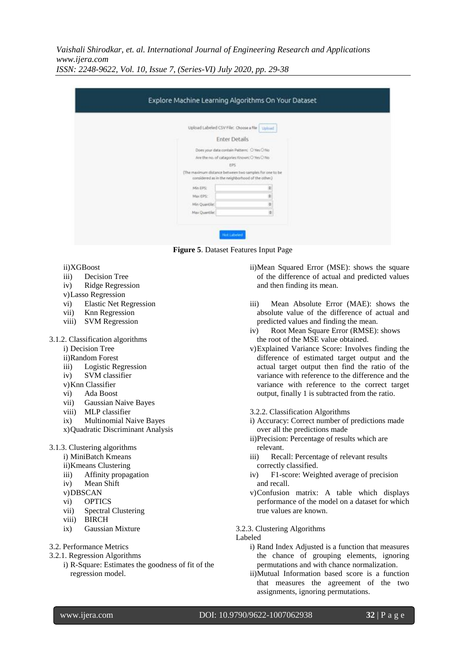| Upload Labeled CSV File: Choose a File   Upload                                                             |   |
|-------------------------------------------------------------------------------------------------------------|---|
| <b>Enter Details</b>                                                                                        |   |
| Does your data contain Pattern: O Yes O No                                                                  |   |
| Are the no. of categories Known: O Yes O No                                                                 |   |
| 8%                                                                                                          |   |
| (The maximum distance between two samples for one to be<br>considered as in the neighborhood of the other.) |   |
| Min EPS:                                                                                                    |   |
| Max EPS:                                                                                                    |   |
| Min Quantile:                                                                                               |   |
| Max Quantile:                                                                                               | ۵ |



- ii)XGBoost
- iii) Decision Tree
- iv) Ridge Regression
- v)Lasso Regression
- vi) Elastic Net Regression
- vii) Knn Regression
- viii) SVM Regression
- 3.1.2. Classification algorithms
	- i) Decision Tree
	- ii)Random Forest
	- iii) Logistic Regression
	- iv) SVM classifier
	- v)Knn Classifier
	- vi) Ada Boost
	- vii) Gaussian Naive Bayes
	- viii) MLP classifier
	- ix) Multinomial Naive Bayes
	- x)Quadratic Discriminant Analysis
- 3.1.3. Clustering algorithms
	- i) MiniBatch Kmeans
	- ii)Kmeans Clustering
	- iii) Affinity propagation
	- iv) Mean Shift
	- v)DBSCAN
	- vi) OPTICS
	- vii) Spectral Clustering
	- viii) BIRCH
	- ix) Gaussian Mixture
- 3.2. Performance Metrics
- 3.2.1. Regression Algorithms
	- i) R-Square: Estimates the goodness of fit of the regression model.
- ii)Mean Squared Error (MSE): shows the square of the difference of actual and predicted values and then finding its mean.
- iii) Mean Absolute Error (MAE): shows the absolute value of the difference of actual and predicted values and finding the mean.
- iv) Root Mean Square Error (RMSE): shows the root of the MSE value obtained.
- v)Explained Variance Score: Involves finding the difference of estimated target output and the actual target output then find the ratio of the variance with reference to the difference and the variance with reference to the correct target output, finally 1 is subtracted from the ratio.
- 3.2.2. Classification Algorithms
- i) Accuracy: Correct number of predictions made over all the predictions made
- ii)Precision: Percentage of results which are relevant.
- iii) Recall: Percentage of relevant results correctly classified.
- iv) F1-score: Weighted average of precision and recall.
- v)Confusion matrix: A table which displays performance of the model on a dataset for which true values are known.

3.2.3. Clustering Algorithms

Labeled

- i) Rand Index Adjusted is a function that measures the chance of grouping elements, ignoring permutations and with chance normalization.
- ii)Mutual Information based score is a function that measures the agreement of the two assignments, ignoring permutations.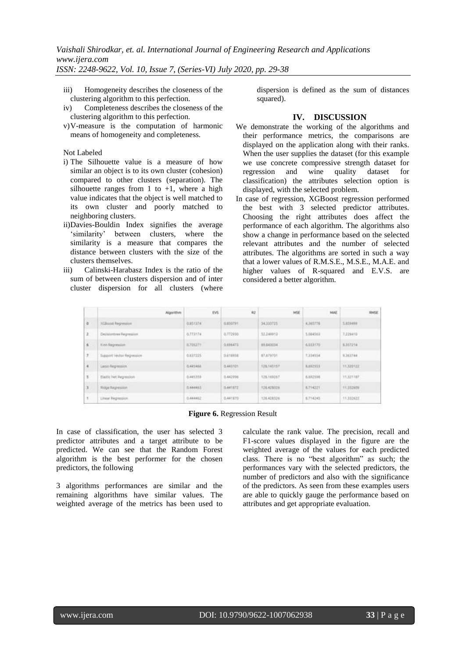- iii) Homogeneity describes the closeness of the clustering algorithm to this perfection.
- iv) Completeness describes the closeness of the clustering algorithm to this perfection.
- v)V-measure is the computation of harmonic means of homogeneity and completeness.

#### Not Labeled

- i) The Silhouette value is a measure of how similar an object is to its own cluster (cohesion) compared to other clusters (separation). The silhouette ranges from 1 to  $+1$ , where a high value indicates that the object is well matched to its own cluster and poorly matched to neighboring clusters.
- ii)Davies-Bouldin Index signifies the average 'similarity' between clusters, where the similarity is a measure that compares the distance between clusters with the size of the clusters themselves.
- iii) Calinski-Harabasz Index is the ratio of the sum of between clusters dispersion and of inter cluster dispersion for all clusters (where

dispersion is defined as the sum of distances squared).

## **IV. DISCUSSION**

- We demonstrate the working of the algorithms and their performance metrics, the comparisons are displayed on the application along with their ranks. When the user supplies the dataset (for this example we use concrete compressive strength dataset for regression and wine quality dataset for classification) the attributes selection option is displayed, with the selected problem.
- In case of regression, XGBoost regression performed the best with 3 selected predictor attributes. Choosing the right attributes does affect the performance of each algorithm. The algorithms also show a change in performance based on the selected relevant attributes and the number of selected attributes. The algorithms are sorted in such a way that a lower values of R.M.S.E., M.S.E., M.A.E. and higher values of R-squared and E.V.S. are considered a better algorithm.

|                     | Algorithm                                        | <b>IVS</b>                         | $^{10}$                        | MSE                             | MAE      | <b>RMSE</b>                   |
|---------------------|--------------------------------------------------|------------------------------------|--------------------------------|---------------------------------|----------|-------------------------------|
| $\circ$             | XCBook Repression                                | 0.9513741                          | G.RSGTRY.                      | 34,333725                       | 4,365776 | 5,859408<br>-----             |
| $\mathbf{a}$        | Decisionbree Pagression.                         | 0.773174                           | 0.772930                       | 12.249913                       | 5,084563 | 7,229410                      |
| $\mathfrak{g}$      | Kinn Repression                                  | IL705271                           | <b>G.HIGETS</b>                | 69,643034                       | 6.033170 | 8,357214                      |
| $\boldsymbol{\tau}$ | Support Vector Regression                        | <b>READ OF A CA</b><br>0.637225    | 3,418938                       | 87,679701                       | 7,334354 | 9.383744                      |
| $\overline{4}$      | <b>CONTRACTOR</b> CONTRACTOR<br>Latso Angression | <b>A AND POSTER OF</b><br>0.445458 | <b>REPORT OF A</b><br>0.441101 | <b>STATISTICS</b><br>126,145157 | 8.892359 | 11,320 (22)                   |
| s.                  | Elaitic Net Regression                           | 0.445359                           | 0.442996                       | 126,169267                      | 8.882556 | TESTERT.                      |
| n n<br>з            | <b>Ridge Regression</b>                          | 0.44445                            | 0.441872                       | 126,428026                      | A.714221 | <b>WATER AND</b><br>11,332609 |
| $\scriptstyle\rm T$ | Linear Regression                                | 0.444452                           | 0.441870                       | 126,428326                      | 8,714245 | 11,552427                     |

### **Figure 6.** Regression Result

In case of classification, the user has selected 3 predictor attributes and a target attribute to be predicted. We can see that the Random Forest algorithm is the best performer for the chosen predictors, the following

3 algorithms performances are similar and the remaining algorithms have similar values. The weighted average of the metrics has been used to

calculate the rank value. The precision, recall and F1-score values displayed in the figure are the weighted average of the values for each predicted class. There is no "best algorithm" as such; the performances vary with the selected predictors, the number of predictors and also with the significance of the predictors. As seen from these examples users are able to quickly gauge the performance based on attributes and get appropriate evaluation.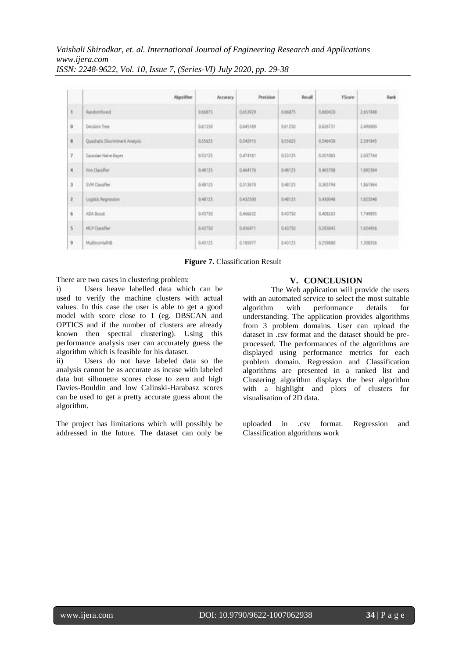|                      | Algorithm                       | Ассикису                   | Precision                   | Recall                    | <b>FScore</b>                   | Rank                        |
|----------------------|---------------------------------|----------------------------|-----------------------------|---------------------------|---------------------------------|-----------------------------|
| 1.                   | RandomForest                    | 0.66875<br>s e co          | 0.653929                    | 0.66875<br>912222         | 0.560420                        | 2,651848                    |
| $\mathbf{0}$         | Decision Tree                   | 0.61250                    | 0.645169                    | 0.61253                   | 0.626731                        | 2,496900                    |
| $\theta$             | Quadratic Discriminant Analysis | 0.55625                    | <b>CENTRAL</b><br>0.542915  | <b>HANGING</b><br>0.53625 | <b>TEMPLO STATE</b><br>0.546430 | <b>SERVICES</b><br>2,201845 |
| 7                    | Grunslan Naive Bayes            | 0.53125                    | 0.474161                    | 0.53125                   | 0.501083                        | 2.037744                    |
| $\mathbf{f}_{\perp}$ | Kno Classifier                  | 0.48125                    | 0.464176                    | 0,46125                   | 0.465708                        | 1.892364                    |
| 3.                   | SVM Classifier                  | <b>DOM: 200</b><br>0.48125 | <b>CHEMICAL</b><br>0.513670 | 0.48125                   | 0.365794                        | 1.861964                    |
| $\mathbf{z}$         | Logistic Regression             | 0.48125                    | 0.432500                    | <b>D.48125</b>            | <b>COLLEGE</b><br>0.430048      | 1.825048                    |
| $\theta$             | ADA Boost                       | 0.43750                    | 0.466632<br>---             | 0.43750                   | 0.408263                        | 1,749095                    |
| 5                    | MLP Classifier                  | 0.43750                    | 0.656411                    | 0.43755                   | 0.293045                        | 1.624456                    |
| g.                   | MultinomialNB                   | 0.43125                    | 0.185977                    | 8.43125                   | na mata<br>0.259880             | 1,306356                    |

**Figure 7.** Classification Result

There are two cases in clustering problem:

i) Users heave labelled data which can be used to verify the machine clusters with actual values. In this case the user is able to get a good model with score close to 1 (eg. DBSCAN and OPTICS and if the number of clusters are already known then spectral clustering). Using this performance analysis user can accurately guess the algorithm which is feasible for his dataset.

ii) Users do not have labeled data so the analysis cannot be as accurate as incase with labeled data but silhouette scores close to zero and high Davies-Bouldin and low Calinski-Harabasz scores can be used to get a pretty accurate guess about the algorithm.

The project has limitations which will possibly be addressed in the future. The dataset can only be

# **V. CONCLUSION**

The Web application will provide the users with an automated service to select the most suitable algorithm with performance details for understanding. The application provides algorithms from 3 problem domains. User can upload the dataset in .csv format and the dataset should be preprocessed. The performances of the algorithms are displayed using performance metrics for each problem domain. Regression and Classification algorithms are presented in a ranked list and Clustering algorithm displays the best algorithm with a highlight and plots of clusters for visualisation of 2D data.

uploaded in .csv format. Regression and Classification algorithms work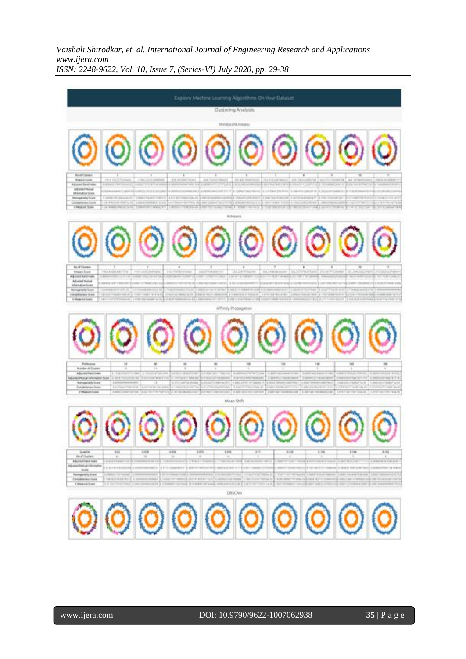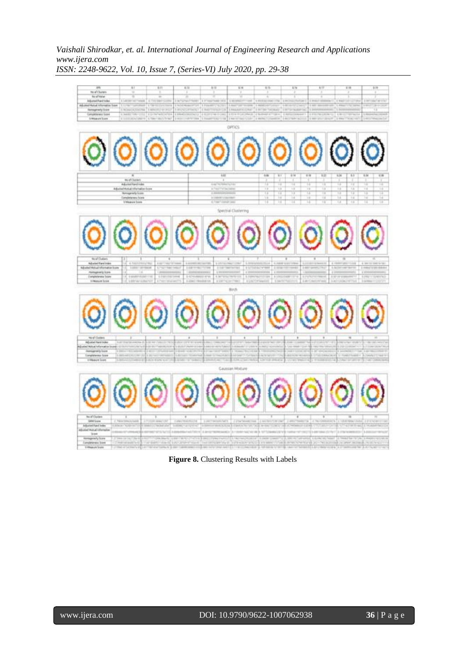

**Figure 8.** Clustering Results with Labels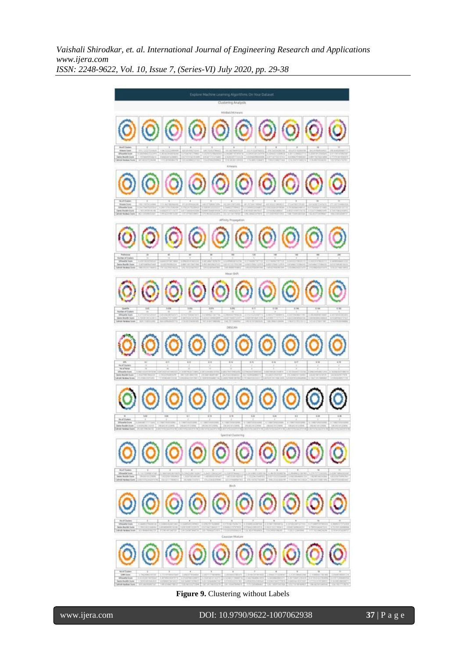

**Figure 9.** Clustering without Labels

י

www.ijera.com DOI: 10.9790/9622-1007062938 **37** | P a g e